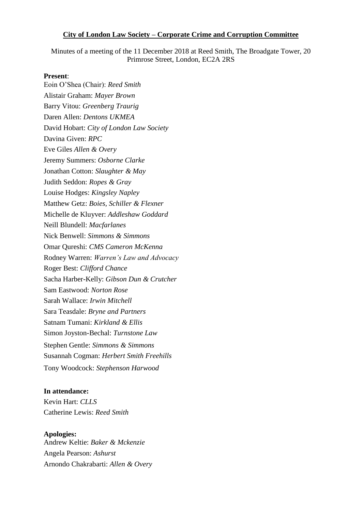#### **City of London Law Society – Corporate Crime and Corruption Committee**

Minutes of a meeting of the 11 December 2018 at Reed Smith, The Broadgate Tower, 20 Primrose Street, London, EC2A 2RS

#### **Present**:

Eoin O'Shea (Chair): *Reed Smith* Alistair Graham: *Mayer Brown* Barry Vitou: *Greenberg Traurig* Daren Allen: *Dentons UKMEA*  David Hobart: *City of London Law Society* Davina Given: *RPC*  Eve Giles *Allen & Overy* Jeremy Summers: *Osborne Clarke* Jonathan Cotton: *Slaughter & May* Judith Seddon: *Ropes & Gray* Louise Hodges: *Kingsley Napley* Matthew Getz: *Boies, Schiller & Flexner* Michelle de Kluyver: *Addleshaw Goddard* Neill Blundell: *Macfarlanes* Nick Benwell: *Simmons & Simmons* Omar Qureshi: *CMS Cameron McKenna*  Rodney Warren: *Warren's Law and Advocacy*  Roger Best: *Clifford Chance*  Sacha Harber-Kelly: *Gibson Dun & Crutcher* Sam Eastwood: *Norton Rose* Sarah Wallace: *Irwin Mitchell* Sara Teasdale: *Bryne and Partners* Satnam Tumani: *Kirkland & Ellis* Simon Joyston-Bechal: *Turnstone Law* Stephen Gentle: *Simmons & Simmons*  Susannah Cogman: *Herbert Smith Freehills*  Tony Woodcock: *Stephenson Harwood* 

#### **In attendance:**

Kevin Hart: *CLLS* Catherine Lewis: *Reed Smith*

#### **Apologies:**

Andrew Keltie: *Baker & Mckenzie* Angela Pearson: *Ashurst* Arnondo Chakrabarti: *Allen & Overy*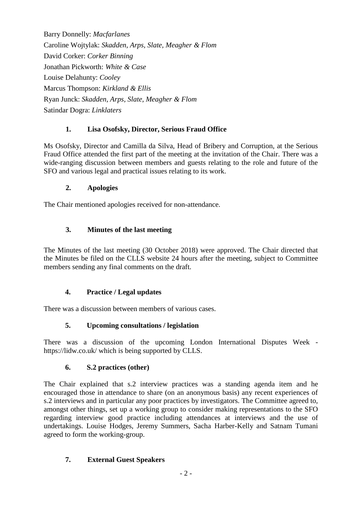Barry Donnelly: *Macfarlanes* Caroline Wojtylak: *Skadden, Arps, Slate, Meagher & Flom* David Corker: *Corker Binning* Jonathan Pickworth: *White & Case* Louise Delahunty: *Cooley* Marcus Thompson: *Kirkland & Ellis* Ryan Junck: *Skadden, Arps, Slate, Meagher & Flom* Satindar Dogra: *Linklaters*

# **1. Lisa Osofsky, Director, Serious Fraud Office**

Ms Osofsky, Director and Camilla da Silva, Head of Bribery and Corruption, at the Serious Fraud Office attended the first part of the meeting at the invitation of the Chair. There was a wide-ranging discussion between members and guests relating to the role and future of the SFO and various legal and practical issues relating to its work.

### **2. Apologies**

The Chair mentioned apologies received for non-attendance.

## **3. Minutes of the last meeting**

The Minutes of the last meeting (30 October 2018) were approved. The Chair directed that the Minutes be filed on the CLLS website 24 hours after the meeting, subject to Committee members sending any final comments on the draft.

### **4. Practice / Legal updates**

There was a discussion between members of various cases.

# **5. Upcoming consultations / legislation**

There was a discussion of the upcoming London International Disputes Week https://lidw.co.uk/ which is being supported by CLLS.

### **6. S.2 practices (other)**

The Chair explained that s.2 interview practices was a standing agenda item and he encouraged those in attendance to share (on an anonymous basis) any recent experiences of s.2 interviews and in particular any poor practices by investigators. The Committee agreed to, amongst other things, set up a working group to consider making representations to the SFO regarding interview good practice including attendances at interviews and the use of undertakings. Louise Hodges, Jeremy Summers, Sacha Harber-Kelly and Satnam Tumani agreed to form the working-group.

# **7. External Guest Speakers**